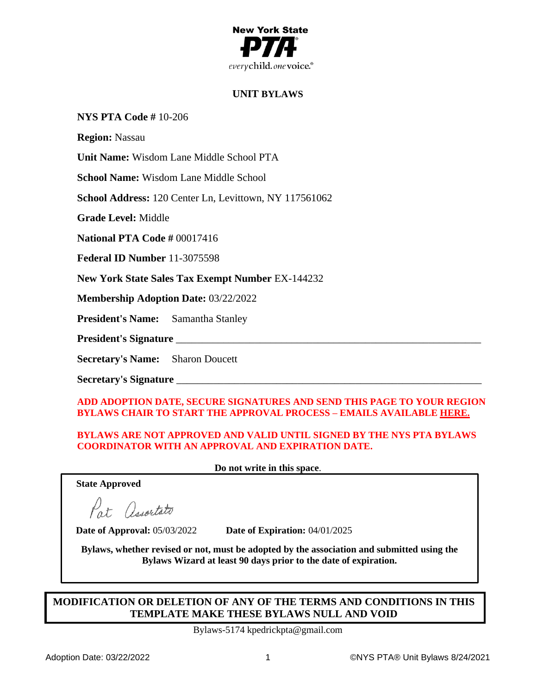

# **UNIT BYLAWS**

## **NYS PTA Code #** 10-206

**Region:** Nassau

**Unit Name:** Wisdom Lane Middle School PTA

**School Name:** Wisdom Lane Middle School

**School Address:** 120 Center Ln, Levittown, NY 117561062

**Grade Level:** Middle

**National PTA Code #** 00017416

**Federal ID Number** 11-3075598

**New York State Sales Tax Exempt Number** EX-144232

**Membership Adoption Date:** 03/22/2022

**President's Name:** Samantha Stanley

President's Signature

**Secretary's Name:** Sharon Doucett

**Secretary's Signature** \_\_\_\_\_\_\_\_\_\_\_\_\_\_\_\_\_\_\_\_\_\_\_\_\_\_\_\_\_\_\_\_\_\_\_\_\_\_\_\_\_\_\_\_\_\_\_\_\_\_\_\_\_\_\_\_\_\_

## **ADD ADOPTION DATE, SECURE SIGNATURES AND SEND THIS PAGE TO YOUR REGION BYLAWS CHAIR TO START THE APPROVAL PROCESS – EMAILS AVAILABLE [HERE.](https://nyspta.org/home/pta-leaders/awards-and-recognitions/2020-celebration-of-the-arts/bylawsprocedures/#RBC)**

## **BYLAWS ARE NOT APPROVED AND VALID UNTIL SIGNED BY THE NYS PTA BYLAWS COORDINATOR WITH AN APPROVAL AND EXPIRATION DATE.**

**Do not write in this space**.

**State Approved**

Pat Associato

**Date of Approval:** 05/03/2022 **Date of Expiration:** 04/01/2025

**Bylaws, whether revised or not, must be adopted by the association and submitted using the Bylaws Wizard at least 90 days prior to the date of expiration.**

# **MODIFICATION OR DELETION OF ANY OF THE TERMS AND CONDITIONS IN THIS TEMPLATE MAKE THESE BYLAWS NULL AND VOID**

Bylaws-5174 kpedrickpta@gmail.com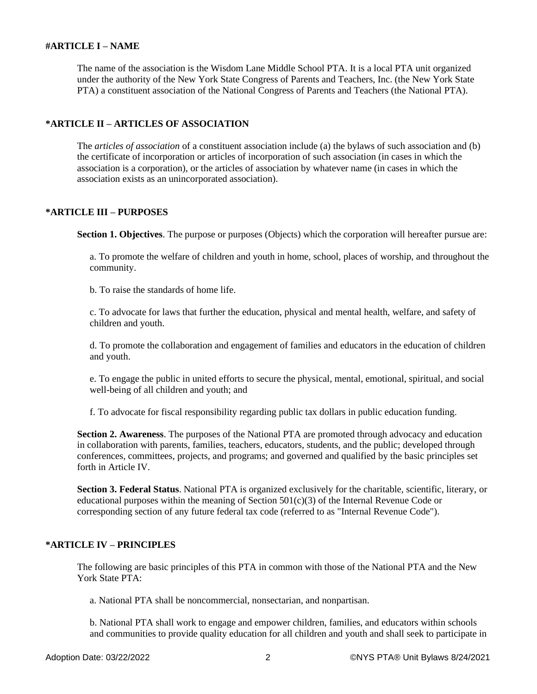### **#ARTICLE I – NAME**

The name of the association is the Wisdom Lane Middle School PTA. It is a local PTA unit organized under the authority of the New York State Congress of Parents and Teachers, Inc. (the New York State PTA) a constituent association of the National Congress of Parents and Teachers (the National PTA).

### **\*ARTICLE II – ARTICLES OF ASSOCIATION**

The *articles of association* of a constituent association include (a) the bylaws of such association and (b) the certificate of incorporation or articles of incorporation of such association (in cases in which the association is a corporation), or the articles of association by whatever name (in cases in which the association exists as an unincorporated association).

## **\*ARTICLE III – PURPOSES**

**Section 1. Objectives**. The purpose or purposes (Objects) which the corporation will hereafter pursue are:

a. To promote the welfare of children and youth in home, school, places of worship, and throughout the community.

b. To raise the standards of home life.

c. To advocate for laws that further the education, physical and mental health, welfare, and safety of children and youth.

d. To promote the collaboration and engagement of families and educators in the education of children and youth.

e. To engage the public in united efforts to secure the physical, mental, emotional, spiritual, and social well-being of all children and youth; and

f. To advocate for fiscal responsibility regarding public tax dollars in public education funding.

**Section 2. Awareness**. The purposes of the National PTA are promoted through advocacy and education in collaboration with parents, families, teachers, educators, students, and the public; developed through conferences, committees, projects, and programs; and governed and qualified by the basic principles set forth in Article IV.

**Section 3. Federal Status**. National PTA is organized exclusively for the charitable, scientific, literary, or educational purposes within the meaning of Section 501(c)(3) of the Internal Revenue Code or corresponding section of any future federal tax code (referred to as "Internal Revenue Code").

### **\*ARTICLE IV – PRINCIPLES**

The following are basic principles of this PTA in common with those of the National PTA and the New York State PTA:

a. National PTA shall be noncommercial, nonsectarian, and nonpartisan.

b. National PTA shall work to engage and empower children, families, and educators within schools and communities to provide quality education for all children and youth and shall seek to participate in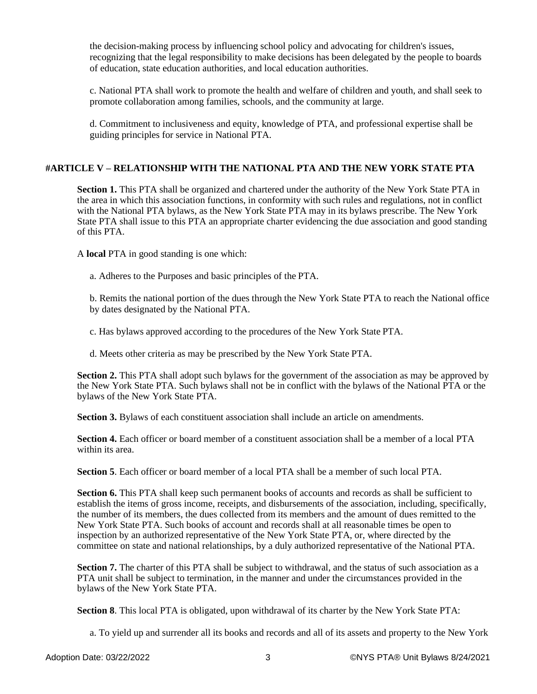the decision-making process by influencing school policy and advocating for children's issues, recognizing that the legal responsibility to make decisions has been delegated by the people to boards of education, state education authorities, and local education authorities.

c. National PTA shall work to promote the health and welfare of children and youth, and shall seek to promote collaboration among families, schools, and the community at large.

d. Commitment to inclusiveness and equity, knowledge of PTA, and professional expertise shall be guiding principles for service in National PTA.

## **#ARTICLE V – RELATIONSHIP WITH THE NATIONAL PTA AND THE NEW YORK STATE PTA**

**Section 1.** This PTA shall be organized and chartered under the authority of the New York State PTA in the area in which this association functions, in conformity with such rules and regulations, not in conflict with the National PTA bylaws, as the New York State PTA may in its bylaws prescribe. The New York State PTA shall issue to this PTA an appropriate charter evidencing the due association and good standing of this PTA.

A **local** PTA in good standing is one which:

a. Adheres to the Purposes and basic principles of the PTA.

b. Remits the national portion of the dues through the New York State PTA to reach the National office by dates designated by the National PTA.

c. Has bylaws approved according to the procedures of the New York State PTA.

d. Meets other criteria as may be prescribed by the New York State PTA.

**Section 2.** This PTA shall adopt such bylaws for the government of the association as may be approved by the New York State PTA. Such bylaws shall not be in conflict with the bylaws of the National PTA or the bylaws of the New York State PTA.

**Section 3.** Bylaws of each constituent association shall include an article on amendments.

**Section 4.** Each officer or board member of a constituent association shall be a member of a local PTA within its area.

**Section 5**. Each officer or board member of a local PTA shall be a member of such local PTA.

**Section 6.** This PTA shall keep such permanent books of accounts and records as shall be sufficient to establish the items of gross income, receipts, and disbursements of the association, including, specifically, the number of its members, the dues collected from its members and the amount of dues remitted to the New York State PTA. Such books of account and records shall at all reasonable times be open to inspection by an authorized representative of the New York State PTA, or, where directed by the committee on state and national relationships, by a duly authorized representative of the National PTA.

**Section 7.** The charter of this PTA shall be subject to withdrawal, and the status of such association as a PTA unit shall be subject to termination, in the manner and under the circumstances provided in the bylaws of the New York State PTA.

**Section 8**. This local PTA is obligated, upon withdrawal of its charter by the New York State PTA:

a. To yield up and surrender all its books and records and all of its assets and property to the New York

Adoption Date: 03/22/2022 3 ©NYS PTA® Unit Bylaws 8/24/2021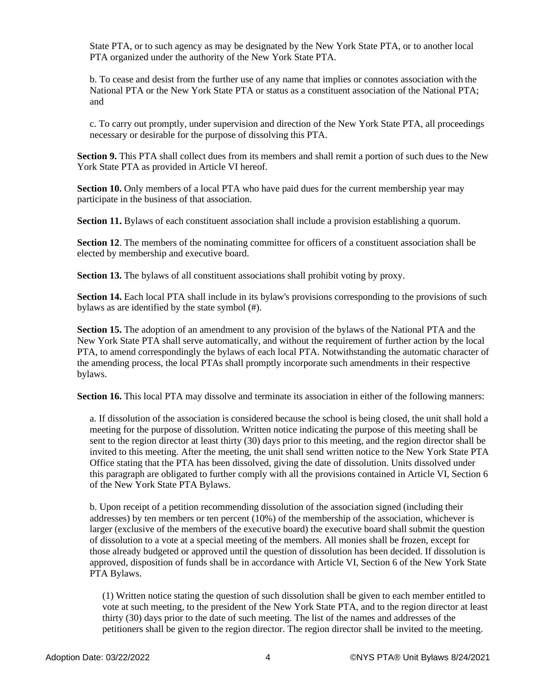State PTA, or to such agency as may be designated by the New York State PTA, or to another local PTA organized under the authority of the New York State PTA.

b. To cease and desist from the further use of any name that implies or connotes association with the National PTA or the New York State PTA or status as a constituent association of the National PTA; and

c. To carry out promptly, under supervision and direction of the New York State PTA, all proceedings necessary or desirable for the purpose of dissolving this PTA.

**Section 9.** This PTA shall collect dues from its members and shall remit a portion of such dues to the New York State PTA as provided in Article VI hereof.

**Section 10.** Only members of a local PTA who have paid dues for the current membership year may participate in the business of that association.

**Section 11.** Bylaws of each constituent association shall include a provision establishing a quorum.

**Section 12.** The members of the nominating committee for officers of a constituent association shall be elected by membership and executive board.

**Section 13.** The bylaws of all constituent associations shall prohibit voting by proxy.

**Section 14.** Each local PTA shall include in its bylaw's provisions corresponding to the provisions of such bylaws as are identified by the state symbol (#).

**Section 15.** The adoption of an amendment to any provision of the bylaws of the National PTA and the New York State PTA shall serve automatically, and without the requirement of further action by the local PTA, to amend correspondingly the bylaws of each local PTA. Notwithstanding the automatic character of the amending process, the local PTAs shall promptly incorporate such amendments in their respective bylaws.

**Section 16.** This local PTA may dissolve and terminate its association in either of the following manners:

a. If dissolution of the association is considered because the school is being closed, the unit shall hold a meeting for the purpose of dissolution. Written notice indicating the purpose of this meeting shall be sent to the region director at least thirty (30) days prior to this meeting, and the region director shall be invited to this meeting. After the meeting, the unit shall send written notice to the New York State PTA Office stating that the PTA has been dissolved, giving the date of dissolution. Units dissolved under this paragraph are obligated to further comply with all the provisions contained in Article VI, Section 6 of the New York State PTA Bylaws.

b. Upon receipt of a petition recommending dissolution of the association signed (including their addresses) by ten members or ten percent (10%) of the membership of the association, whichever is larger (exclusive of the members of the executive board) the executive board shall submit the question of dissolution to a vote at a special meeting of the members. All monies shall be frozen, except for those already budgeted or approved until the question of dissolution has been decided. If dissolution is approved, disposition of funds shall be in accordance with Article VI, Section 6 of the New York State PTA Bylaws.

(1) Written notice stating the question of such dissolution shall be given to each member entitled to vote at such meeting, to the president of the New York State PTA, and to the region director at least thirty (30) days prior to the date of such meeting. The list of the names and addresses of the petitioners shall be given to the region director. The region director shall be invited to the meeting.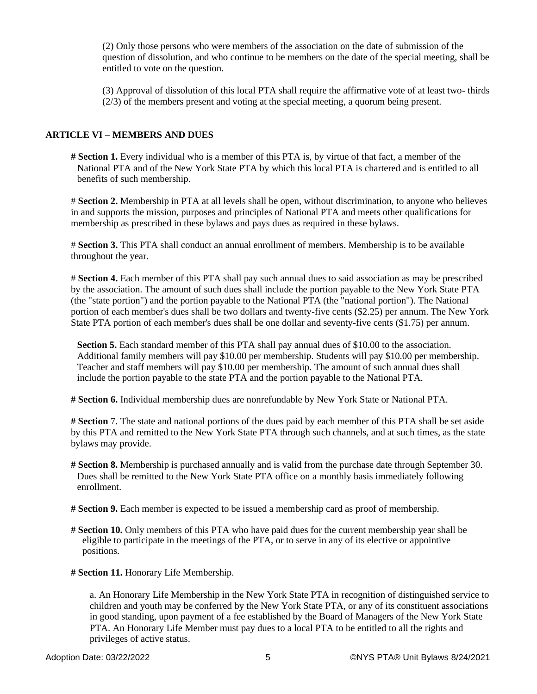(2) Only those persons who were members of the association on the date of submission of the question of dissolution, and who continue to be members on the date of the special meeting, shall be entitled to vote on the question.

(3) Approval of dissolution of this local PTA shall require the affirmative vote of at least two- thirds (2/3) of the members present and voting at the special meeting, a quorum being present.

## **ARTICLE VI – MEMBERS AND DUES**

**# Section 1.** Every individual who is a member of this PTA is, by virtue of that fact, a member of the National PTA and of the New York State PTA by which this local PTA is chartered and is entitled to all benefits of such membership.

# **Section 2.** Membership in PTA at all levels shall be open, without discrimination, to anyone who believes in and supports the mission, purposes and principles of National PTA and meets other qualifications for membership as prescribed in these bylaws and pays dues as required in these bylaws.

# **Section 3.** This PTA shall conduct an annual enrollment of members. Membership is to be available throughout the year.

# **Section 4.** Each member of this PTA shall pay such annual dues to said association as may be prescribed by the association. The amount of such dues shall include the portion payable to the New York State PTA (the "state portion") and the portion payable to the National PTA (the "national portion"). The National portion of each member's dues shall be two dollars and twenty-five cents (\$2.25) per annum. The New York State PTA portion of each member's dues shall be one dollar and seventy-five cents (\$1.75) per annum.

**Section 5.** Each standard member of this PTA shall pay annual dues of \$10.00 to the association. Additional family members will pay \$10.00 per membership. Students will pay \$10.00 per membership. Teacher and staff members will pay \$10.00 per membership. The amount of such annual dues shall include the portion payable to the state PTA and the portion payable to the National PTA.

**# Section 6.** Individual membership dues are nonrefundable by New York State or National PTA.

**# Section** 7. The state and national portions of the dues paid by each member of this PTA shall be set aside by this PTA and remitted to the New York State PTA through such channels, and at such times, as the state bylaws may provide.

- **# Section 8.** Membership is purchased annually and is valid from the purchase date through September 30. Dues shall be remitted to the New York State PTA office on a monthly basis immediately following enrollment.
- **# Section 9.** Each member is expected to be issued a membership card as proof of membership.
- **# Section 10.** Only members of this PTA who have paid dues for the current membership year shall be eligible to participate in the meetings of the PTA, or to serve in any of its elective or appointive positions.
- **# Section 11.** Honorary Life Membership.

a. An Honorary Life Membership in the New York State PTA in recognition of distinguished service to children and youth may be conferred by the New York State PTA, or any of its constituent associations in good standing, upon payment of a fee established by the Board of Managers of the New York State PTA. An Honorary Life Member must pay dues to a local PTA to be entitled to all the rights and privileges of active status.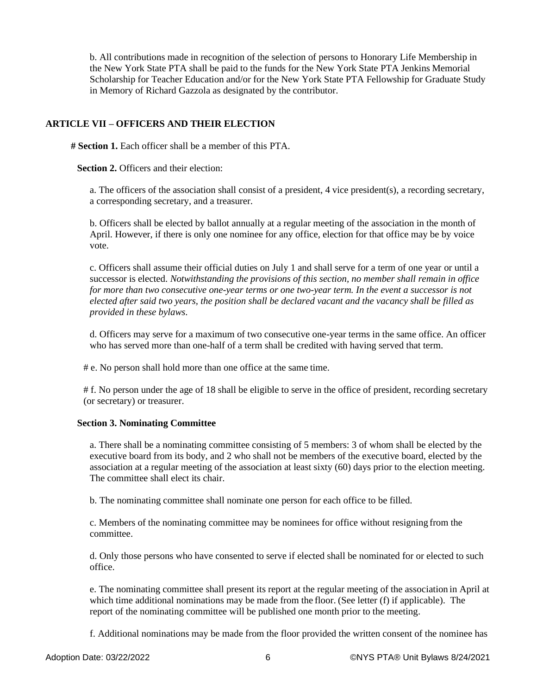b. All contributions made in recognition of the selection of persons to Honorary Life Membership in the New York State PTA shall be paid to the funds for the New York State PTA Jenkins Memorial Scholarship for Teacher Education and/or for the New York State PTA Fellowship for Graduate Study in Memory of Richard Gazzola as designated by the contributor.

## **ARTICLE VII – OFFICERS AND THEIR ELECTION**

**# Section 1.** Each officer shall be a member of this PTA.

**Section 2.** Officers and their election:

a. The officers of the association shall consist of a president, 4 vice president(s), a recording secretary, a corresponding secretary, and a treasurer.

b. Officers shall be elected by ballot annually at a regular meeting of the association in the month of April. However, if there is only one nominee for any office, election for that office may be by voice vote.

c. Officers shall assume their official duties on July 1 and shall serve for a term of one year or until a successor is elected. *Notwithstanding the provisions of this section, no member shall remain in office for more than two consecutive one-year terms or one two-year term. In the event a successor is not elected after said two years, the position shall be declared vacant and the vacancy shall be filled as provided in these bylaws.*

d. Officers may serve for a maximum of two consecutive one-year terms in the same office. An officer who has served more than one-half of a term shall be credited with having served that term.

# e. No person shall hold more than one office at the same time.

# f. No person under the age of 18 shall be eligible to serve in the office of president, recording secretary (or secretary) or treasurer.

### **Section 3. Nominating Committee**

a. There shall be a nominating committee consisting of 5 members: 3 of whom shall be elected by the executive board from its body, and 2 who shall not be members of the executive board, elected by the association at a regular meeting of the association at least sixty (60) days prior to the election meeting. The committee shall elect its chair.

b. The nominating committee shall nominate one person for each office to be filled.

c. Members of the nominating committee may be nominees for office without resigning from the committee.

d. Only those persons who have consented to serve if elected shall be nominated for or elected to such office.

e. The nominating committee shall present its report at the regular meeting of the association in April at which time additional nominations may be made from the floor. (See letter (f) if applicable). The report of the nominating committee will be published one month prior to the meeting.

f. Additional nominations may be made from the floor provided the written consent of the nominee has

Adoption Date: 03/22/2022 6 ©NYS PTA® Unit Bylaws 8/24/2021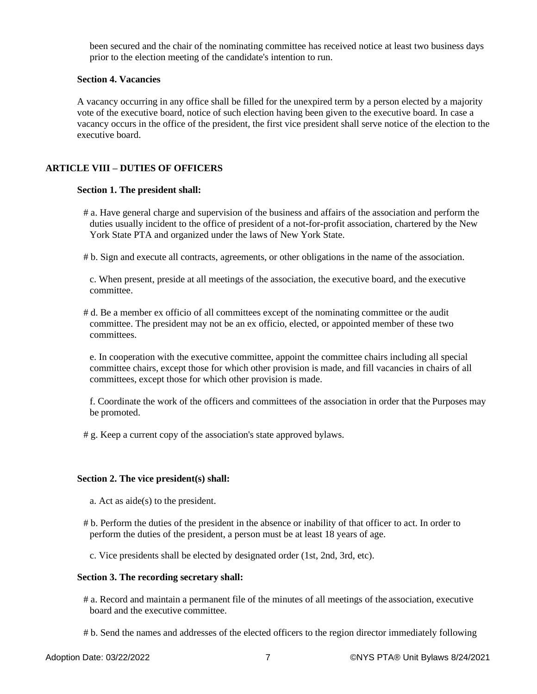been secured and the chair of the nominating committee has received notice at least two business days prior to the election meeting of the candidate's intention to run.

### **Section 4. Vacancies**

A vacancy occurring in any office shall be filled for the unexpired term by a person elected by a majority vote of the executive board, notice of such election having been given to the executive board. In case a vacancy occurs in the office of the president, the first vice president shall serve notice of the election to the executive board.

## **ARTICLE VIII – DUTIES OF OFFICERS**

#### **Section 1. The president shall:**

- # a. Have general charge and supervision of the business and affairs of the association and perform the duties usually incident to the office of president of a not-for-profit association, chartered by the New York State PTA and organized under the laws of New York State.
- # b. Sign and execute all contracts, agreements, or other obligations in the name of the association.

c. When present, preside at all meetings of the association, the executive board, and the executive committee.

# d. Be a member ex officio of all committees except of the nominating committee or the audit committee. The president may not be an ex officio, elected, or appointed member of these two committees.

e. In cooperation with the executive committee, appoint the committee chairs including all special committee chairs, except those for which other provision is made, and fill vacancies in chairs of all committees, except those for which other provision is made.

f. Coordinate the work of the officers and committees of the association in order that the Purposes may be promoted.

# g. Keep a current copy of the association's state approved bylaws.

#### **Section 2. The vice president(s) shall:**

- a. Act as aide(s) to the president.
- # b. Perform the duties of the president in the absence or inability of that officer to act. In order to perform the duties of the president, a person must be at least 18 years of age.
	- c. Vice presidents shall be elected by designated order (1st, 2nd, 3rd, etc).

#### **Section 3. The recording secretary shall:**

- # a. Record and maintain a permanent file of the minutes of all meetings of the association, executive board and the executive committee.
- # b. Send the names and addresses of the elected officers to the region director immediately following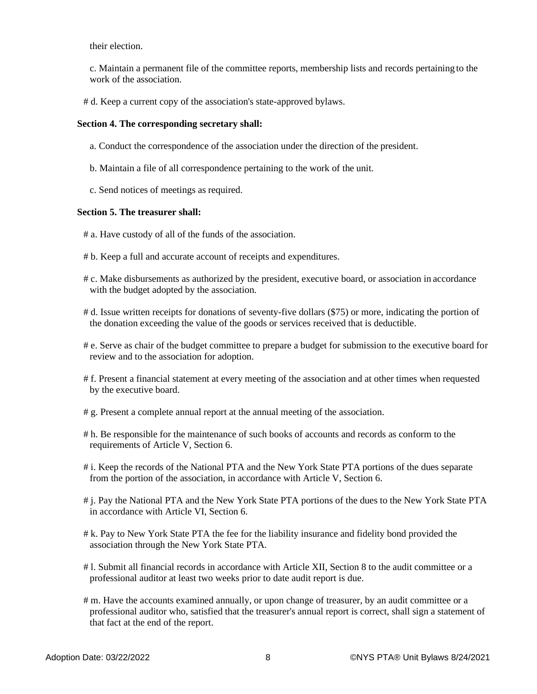their election.

c. Maintain a permanent file of the committee reports, membership lists and records pertaining to the work of the association.

# d. Keep a current copy of the association's state-approved bylaws.

#### **Section 4. The corresponding secretary shall:**

- a. Conduct the correspondence of the association under the direction of the president.
- b. Maintain a file of all correspondence pertaining to the work of the unit.
- c. Send notices of meetings as required.

#### **Section 5. The treasurer shall:**

- # a. Have custody of all of the funds of the association.
- # b. Keep a full and accurate account of receipts and expenditures.
- # c. Make disbursements as authorized by the president, executive board, or association in accordance with the budget adopted by the association.
- # d. Issue written receipts for donations of seventy-five dollars (\$75) or more, indicating the portion of the donation exceeding the value of the goods or services received that is deductible.
- # e. Serve as chair of the budget committee to prepare a budget for submission to the executive board for review and to the association for adoption.
- # f. Present a financial statement at every meeting of the association and at other times when requested by the executive board.
- # g. Present a complete annual report at the annual meeting of the association.
- # h. Be responsible for the maintenance of such books of accounts and records as conform to the requirements of Article V, Section 6.
- # i. Keep the records of the National PTA and the New York State PTA portions of the dues separate from the portion of the association, in accordance with Article V, Section 6.
- # j. Pay the National PTA and the New York State PTA portions of the dues to the New York State PTA in accordance with Article VI, Section 6.
- # k. Pay to New York State PTA the fee for the liability insurance and fidelity bond provided the association through the New York State PTA.
- # l. Submit all financial records in accordance with Article XII, Section 8 to the audit committee or a professional auditor at least two weeks prior to date audit report is due.
- # m. Have the accounts examined annually, or upon change of treasurer, by an audit committee or a professional auditor who, satisfied that the treasurer's annual report is correct, shall sign a statement of that fact at the end of the report.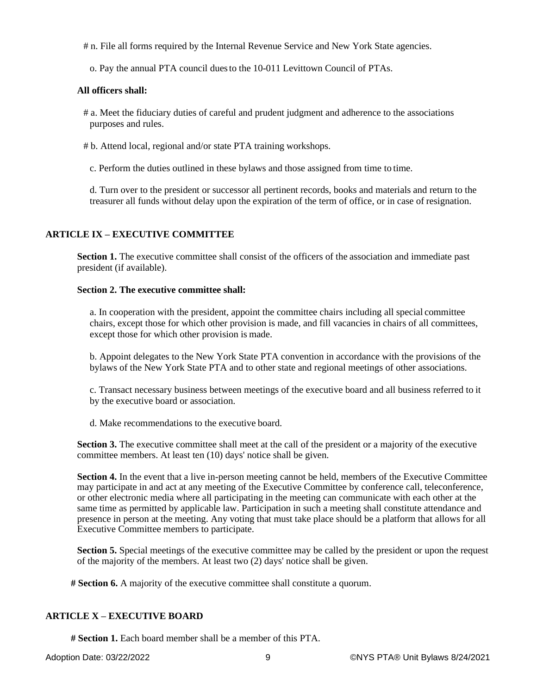# n. File all forms required by the Internal Revenue Service and New York State agencies.

o. Pay the annual PTA council duesto the 10-011 Levittown Council of PTAs.

## **All officers shall:**

# a. Meet the fiduciary duties of careful and prudent judgment and adherence to the associations purposes and rules.

# b. Attend local, regional and/or state PTA training workshops.

c. Perform the duties outlined in these bylaws and those assigned from time to time.

d. Turn over to the president or successor all pertinent records, books and materials and return to the treasurer all funds without delay upon the expiration of the term of office, or in case of resignation.

# **ARTICLE IX – EXECUTIVE COMMITTEE**

**Section 1.** The executive committee shall consist of the officers of the association and immediate past president (if available).

## **Section 2. The executive committee shall:**

a. In cooperation with the president, appoint the committee chairs including all special committee chairs, except those for which other provision is made, and fill vacancies in chairs of all committees, except those for which other provision is made.

b. Appoint delegates to the New York State PTA convention in accordance with the provisions of the bylaws of the New York State PTA and to other state and regional meetings of other associations.

c. Transact necessary business between meetings of the executive board and all business referred to it by the executive board or association.

d. Make recommendations to the executive board.

**Section 3.** The executive committee shall meet at the call of the president or a majority of the executive committee members. At least ten (10) days' notice shall be given.

**Section 4.** In the event that a live in-person meeting cannot be held, members of the Executive Committee may participate in and act at any meeting of the Executive Committee by conference call, teleconference, or other electronic media where all participating in the meeting can communicate with each other at the same time as permitted by applicable law. Participation in such a meeting shall constitute attendance and presence in person at the meeting. Any voting that must take place should be a platform that allows for all Executive Committee members to participate.

**Section 5.** Special meetings of the executive committee may be called by the president or upon the request of the majority of the members. At least two (2) days' notice shall be given.

**# Section 6.** A majority of the executive committee shall constitute a quorum.

## **ARTICLE X – EXECUTIVE BOARD**

**# Section 1.** Each board member shall be a member of this PTA.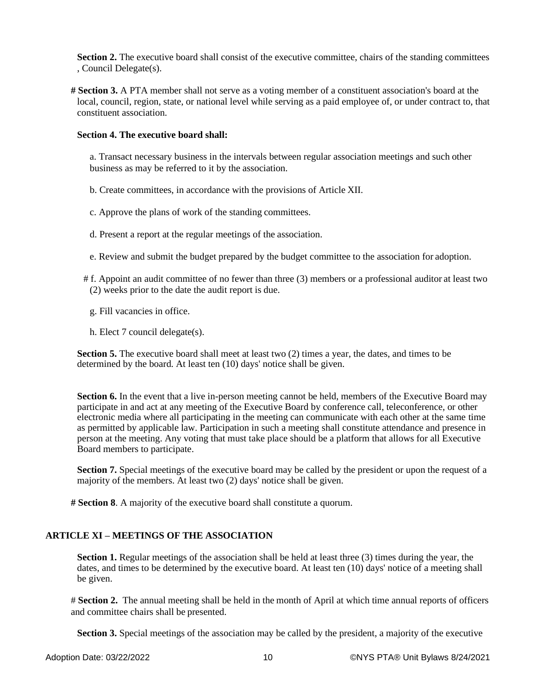**Section 2.** The executive board shall consist of the executive committee, chairs of the standing committees , Council Delegate(s).

**# Section 3.** A PTA member shall not serve as a voting member of a constituent association's board at the local, council, region, state, or national level while serving as a paid employee of, or under contract to, that constituent association.

### **Section 4. The executive board shall:**

a. Transact necessary business in the intervals between regular association meetings and such other business as may be referred to it by the association.

- b. Create committees, in accordance with the provisions of Article XII.
- c. Approve the plans of work of the standing committees.
- d. Present a report at the regular meetings of the association.
- e. Review and submit the budget prepared by the budget committee to the association for adoption.
- # f. Appoint an audit committee of no fewer than three (3) members or a professional auditor at least two (2) weeks prior to the date the audit report is due.
	- g. Fill vacancies in office.
	- h. Elect 7 council delegate(s).

**Section 5.** The executive board shall meet at least two (2) times a year, the dates, and times to be determined by the board. At least ten (10) days' notice shall be given.

**Section 6.** In the event that a live in-person meeting cannot be held, members of the Executive Board may participate in and act at any meeting of the Executive Board by conference call, teleconference, or other electronic media where all participating in the meeting can communicate with each other at the same time as permitted by applicable law. Participation in such a meeting shall constitute attendance and presence in person at the meeting. Any voting that must take place should be a platform that allows for all Executive Board members to participate.

**Section 7.** Special meetings of the executive board may be called by the president or upon the request of a majority of the members. At least two (2) days' notice shall be given.

**# Section 8**. A majority of the executive board shall constitute a quorum.

### **ARTICLE XI – MEETINGS OF THE ASSOCIATION**

**Section 1.** Regular meetings of the association shall be held at least three (3) times during the year, the dates, and times to be determined by the executive board. At least ten (10) days' notice of a meeting shall be given.

# **Section 2.** The annual meeting shall be held in the month of April at which time annual reports of officers and committee chairs shall be presented.

**Section 3.** Special meetings of the association may be called by the president, a majority of the executive

Adoption Date: 03/22/2022 10 10 CONYS PTA® Unit Bylaws 8/24/2021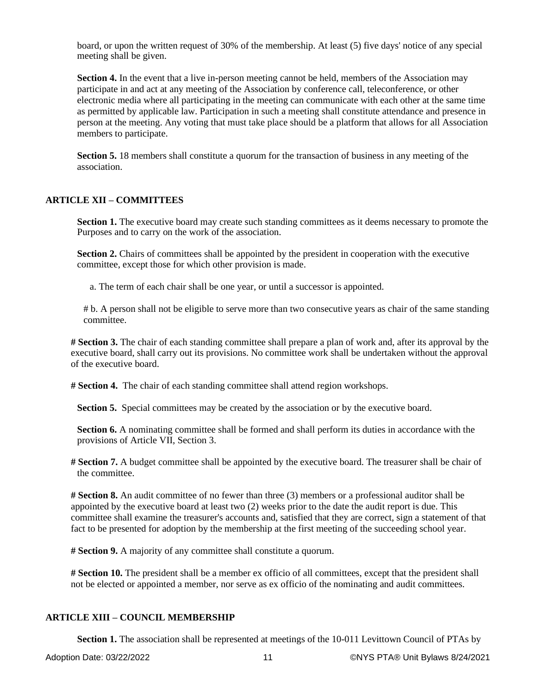board, or upon the written request of 30% of the membership. At least (5) five days' notice of any special meeting shall be given.

**Section 4.** In the event that a live in-person meeting cannot be held, members of the Association may participate in and act at any meeting of the Association by conference call, teleconference, or other electronic media where all participating in the meeting can communicate with each other at the same time as permitted by applicable law. Participation in such a meeting shall constitute attendance and presence in person at the meeting. Any voting that must take place should be a platform that allows for all Association members to participate.

**Section 5.** 18 members shall constitute a quorum for the transaction of business in any meeting of the association.

### **ARTICLE XII – COMMITTEES**

**Section 1.** The executive board may create such standing committees as it deems necessary to promote the Purposes and to carry on the work of the association.

**Section 2.** Chairs of committees shall be appointed by the president in cooperation with the executive committee, except those for which other provision is made.

a. The term of each chair shall be one year, or until a successor is appointed.

# b. A person shall not be eligible to serve more than two consecutive years as chair of the same standing committee.

**# Section 3.** The chair of each standing committee shall prepare a plan of work and, after its approval by the executive board, shall carry out its provisions. No committee work shall be undertaken without the approval of the executive board.

**# Section 4.** The chair of each standing committee shall attend region workshops.

**Section 5.** Special committees may be created by the association or by the executive board.

**Section 6.** A nominating committee shall be formed and shall perform its duties in accordance with the provisions of Article VII, Section 3.

**# Section 7.** A budget committee shall be appointed by the executive board. The treasurer shall be chair of the committee.

**# Section 8.** An audit committee of no fewer than three (3) members or a professional auditor shall be appointed by the executive board at least two (2) weeks prior to the date the audit report is due. This committee shall examine the treasurer's accounts and, satisfied that they are correct, sign a statement of that fact to be presented for adoption by the membership at the first meeting of the succeeding school year.

**# Section 9.** A majority of any committee shall constitute a quorum.

**# Section 10.** The president shall be a member ex officio of all committees, except that the president shall not be elected or appointed a member, nor serve as ex officio of the nominating and audit committees.

## **ARTICLE XIII – COUNCIL MEMBERSHIP**

**Section 1.** The association shall be represented at meetings of the 10-011 Levittown Council of PTAs by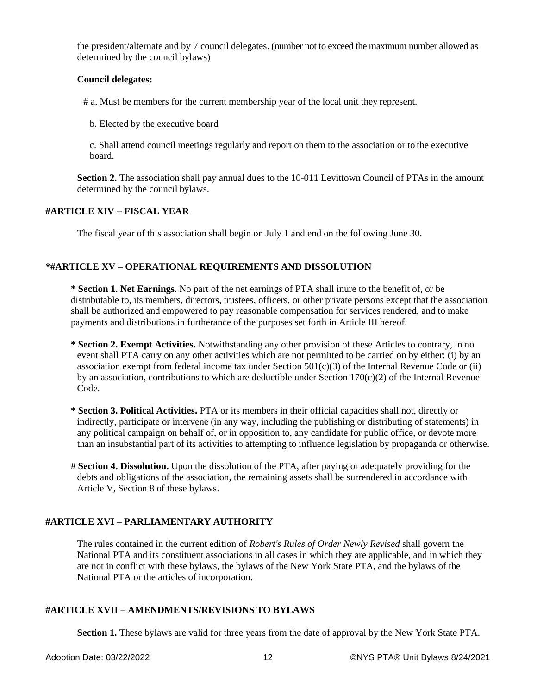the president/alternate and by 7 council delegates. (number not to exceed the maximum number allowed as determined by the council bylaws)

### **Council delegates:**

# a. Must be members for the current membership year of the local unit they represent.

b. Elected by the executive board

c. Shall attend council meetings regularly and report on them to the association or to the executive board.

**Section 2.** The association shall pay annual dues to the 10-011 Levittown Council of PTAs in the amount determined by the council bylaws.

#### **#ARTICLE XIV – FISCAL YEAR**

The fiscal year of this association shall begin on July 1 and end on the following June 30.

### **\*#ARTICLE XV – OPERATIONAL REQUIREMENTS AND DISSOLUTION**

**\* Section 1. Net Earnings.** No part of the net earnings of PTA shall inure to the benefit of, or be distributable to, its members, directors, trustees, officers, or other private persons except that the association shall be authorized and empowered to pay reasonable compensation for services rendered, and to make payments and distributions in furtherance of the purposes set forth in Article III hereof.

- **\* Section 2. Exempt Activities.** Notwithstanding any other provision of these Articles to contrary, in no event shall PTA carry on any other activities which are not permitted to be carried on by either: (i) by an association exempt from federal income tax under Section  $501(c)(3)$  of the Internal Revenue Code or (ii) by an association, contributions to which are deductible under Section  $170(c)(2)$  of the Internal Revenue Code.
- **\* Section 3. Political Activities.** PTA or its members in their official capacities shall not, directly or indirectly, participate or intervene (in any way, including the publishing or distributing of statements) in any political campaign on behalf of, or in opposition to, any candidate for public office, or devote more than an insubstantial part of its activities to attempting to influence legislation by propaganda or otherwise.
- **# Section 4. Dissolution.** Upon the dissolution of the PTA, after paying or adequately providing for the debts and obligations of the association, the remaining assets shall be surrendered in accordance with Article V, Section 8 of these bylaws.

### **#ARTICLE XVI – PARLIAMENTARY AUTHORITY**

The rules contained in the current edition of *Robert's Rules of Order Newly Revised* shall govern the National PTA and its constituent associations in all cases in which they are applicable, and in which they are not in conflict with these bylaws, the bylaws of the New York State PTA, and the bylaws of the National PTA or the articles of incorporation.

### **#ARTICLE XVII – AMENDMENTS/REVISIONS TO BYLAWS**

**Section 1.** These bylaws are valid for three years from the date of approval by the New York State PTA.